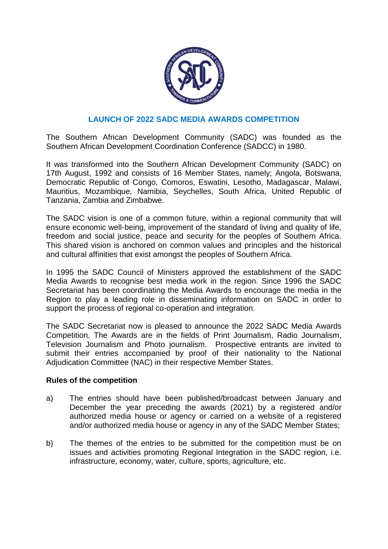

## **LAUNCH OF 2022 SADC MEDIA AWARDS COMPETITION**

The Southern African Development Community (SADC) was founded as the Southern African Development Coordination Conference (SADCC) in 1980.

It was transformed into the Southern African Development Community (SADC) on 17th August, 1992 and consists of 16 Member States, namely; Angola, Botswana, Democratic Republic of Congo, Comoros, Eswatini, Lesotho, Madagascar, Malawi, Mauritius, Mozambique, Namibia, Seychelles, South Africa, United Republic of Tanzania, Zambia and Zimbabwe.

The SADC vision is one of a common future, within a regional community that will ensure economic well-being, improvement of the standard of living and quality of life, freedom and social justice, peace and security for the peoples of Southern Africa. This shared vision is anchored on common values and principles and the historical and cultural affinities that exist amongst the peoples of Southern Africa.

In 1995 the SADC Council of Ministers approved the establishment of the SADC Media Awards to recognise best media work in the region. Since 1996 the SADC Secretariat has been coordinating the Media Awards to encourage the media in the Region to play a leading role in disseminating information on SADC in order to support the process of regional co-operation and integration.

The SADC Secretariat now is pleased to announce the 2022 SADC Media Awards Competition. The Awards are in the fields of Print Journalism, Radio Journalism, Television Journalism and Photo journalism. Prospective entrants are invited to submit their entries accompanied by proof of their nationality to the National Adjudication Committee (NAC) in their respective Member States.

## **Rules of the competition**

- a) The entries should have been published/broadcast between January and December the year preceding the awards (2021) by a registered and/or authorized media house or agency or carried on a website of a registered and/or authorized media house or agency in any of the SADC Member States;
- b) The themes of the entries to be submitted for the competition must be on issues and activities promoting Regional Integration in the SADC region, i.e. infrastructure, economy, water, culture, sports, agriculture, etc.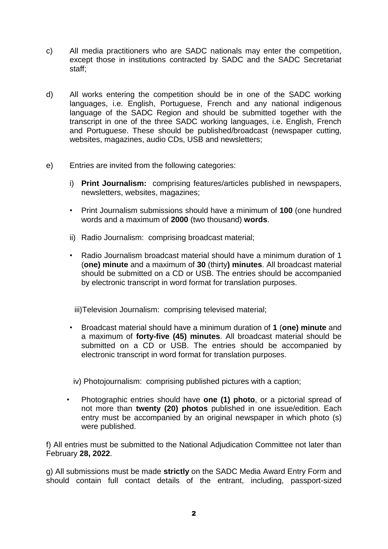- c) All media practitioners who are SADC nationals may enter the competition, except those in institutions contracted by SADC and the SADC Secretariat staff;
- d) All works entering the competition should be in one of the SADC working languages, i.e. English, Portuguese, French and any national indigenous language of the SADC Region and should be submitted together with the transcript in one of the three SADC working languages, i.e. English, French and Portuguese. These should be published/broadcast (newspaper cutting, websites, magazines, audio CDs, USB and newsletters;
- e) Entries are invited from the following categories:
	- i) **Print Journalism:** comprising features/articles published in newspapers, newsletters, websites, magazines;
	- Print Journalism submissions should have a minimum of **100** (one hundred words and a maximum of **2000** (two thousand) **words**.
	- ii) Radio Journalism: comprising broadcast material;
	- Radio Journalism broadcast material should have a minimum duration of 1 (**one) minute** and a maximum of **30** (thirty**) minutes**. All broadcast material should be submitted on a CD or USB. The entries should be accompanied by electronic transcript in word format for translation purposes.

iii)Television Journalism: comprising televised material;

• Broadcast material should have a minimum duration of **1** (**one) minute** and a maximum of **forty-five (45) minutes**. All broadcast material should be submitted on a CD or USB. The entries should be accompanied by electronic transcript in word format for translation purposes.

iv) Photojournalism: comprising published pictures with a caption;

• Photographic entries should have **one (1) photo**, or a pictorial spread of not more than **twenty (20) photos** published in one issue/edition. Each entry must be accompanied by an original newspaper in which photo (s) were published.

f) All entries must be submitted to the National Adjudication Committee not later than February **28, 2022**.

g) All submissions must be made **strictly** on the SADC Media Award Entry Form and should contain full contact details of the entrant, including, passport-sized